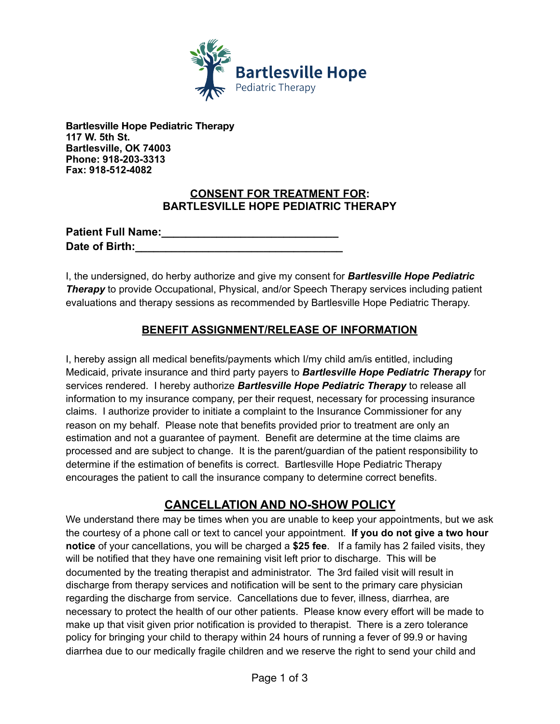

**Bartlesville Hope Pediatric Therapy 117 W. 5th St. Bartlesville, OK 74003 Phone: 918-203-3313 Fax: 918-512-4082** 

## **CONSENT FOR TREATMENT FOR: BARTLESVILLE HOPE PEDIATRIC THERAPY**

| <b>Patient Full Name:</b> |  |
|---------------------------|--|
| Date of Birth:            |  |

I, the undersigned, do herby authorize and give my consent for *Bartlesville Hope Pediatric*  **Therapy** to provide Occupational, Physical, and/or Speech Therapy services including patient evaluations and therapy sessions as recommended by Bartlesville Hope Pediatric Therapy.

## **BENEFIT ASSIGNMENT/RELEASE OF INFORMATION**

I, hereby assign all medical benefits/payments which I/my child am/is entitled, including Medicaid, private insurance and third party payers to *Bartlesville Hope Pediatric Therapy* for services rendered. I hereby authorize *Bartlesville Hope Pediatric Therapy* to release all information to my insurance company, per their request, necessary for processing insurance claims. I authorize provider to initiate a complaint to the Insurance Commissioner for any reason on my behalf. Please note that benefits provided prior to treatment are only an estimation and not a guarantee of payment. Benefit are determine at the time claims are processed and are subject to change. It is the parent/guardian of the patient responsibility to determine if the estimation of benefits is correct. Bartlesville Hope Pediatric Therapy encourages the patient to call the insurance company to determine correct benefits.

## **CANCELLATION AND NO-SHOW POLICY**

We understand there may be times when you are unable to keep your appointments, but we ask the courtesy of a phone call or text to cancel your appointment. **If you do not give a two hour notice** of your cancellations, you will be charged a **\$25 fee**. If a family has 2 failed visits, they will be notified that they have one remaining visit left prior to discharge. This will be documented by the treating therapist and administrator. The 3rd failed visit will result in discharge from therapy services and notification will be sent to the primary care physician regarding the discharge from service. Cancellations due to fever, illness, diarrhea, are necessary to protect the health of our other patients. Please know every effort will be made to make up that visit given prior notification is provided to therapist. There is a zero tolerance policy for bringing your child to therapy within 24 hours of running a fever of 99.9 or having diarrhea due to our medically fragile children and we reserve the right to send your child and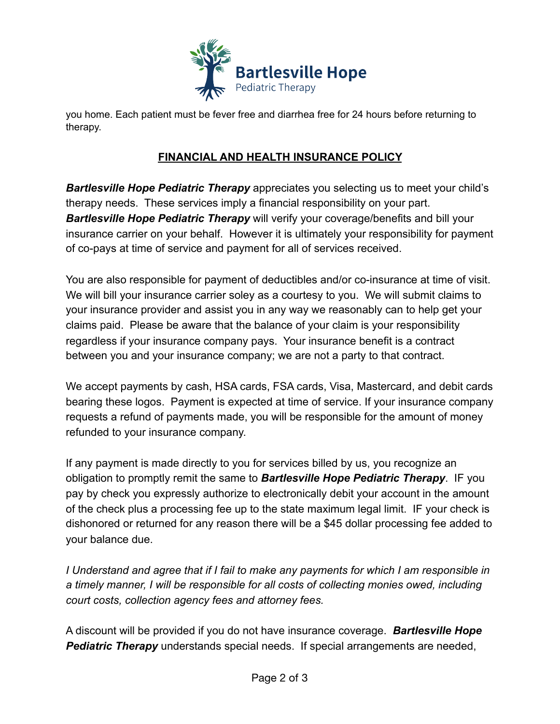

you home. Each patient must be fever free and diarrhea free for 24 hours before returning to therapy.

## **FINANCIAL AND HEALTH INSURANCE POLICY**

*Bartlesville Hope Pediatric Therapy* appreciates you selecting us to meet your child's therapy needs. These services imply a financial responsibility on your part. *Bartlesville Hope Pediatric Therapy* will verify your coverage/benefits and bill your insurance carrier on your behalf. However it is ultimately your responsibility for payment of co-pays at time of service and payment for all of services received.

You are also responsible for payment of deductibles and/or co-insurance at time of visit. We will bill your insurance carrier soley as a courtesy to you. We will submit claims to your insurance provider and assist you in any way we reasonably can to help get your claims paid. Please be aware that the balance of your claim is your responsibility regardless if your insurance company pays. Your insurance benefit is a contract between you and your insurance company; we are not a party to that contract.

We accept payments by cash, HSA cards, FSA cards, Visa, Mastercard, and debit cards bearing these logos. Payment is expected at time of service. If your insurance company requests a refund of payments made, you will be responsible for the amount of money refunded to your insurance company.

If any payment is made directly to you for services billed by us, you recognize an obligation to promptly remit the same to *Bartlesville Hope Pediatric Therapy*. IF you pay by check you expressly authorize to electronically debit your account in the amount of the check plus a processing fee up to the state maximum legal limit. IF your check is dishonored or returned for any reason there will be a \$45 dollar processing fee added to your balance due.

*I Understand and agree that if I fail to make any payments for which I am responsible in a timely manner, I will be responsible for all costs of collecting monies owed, including court costs, collection agency fees and attorney fees.* 

A discount will be provided if you do not have insurance coverage. *Bartlesville Hope*  **Pediatric Therapy** understands special needs. If special arrangements are needed,